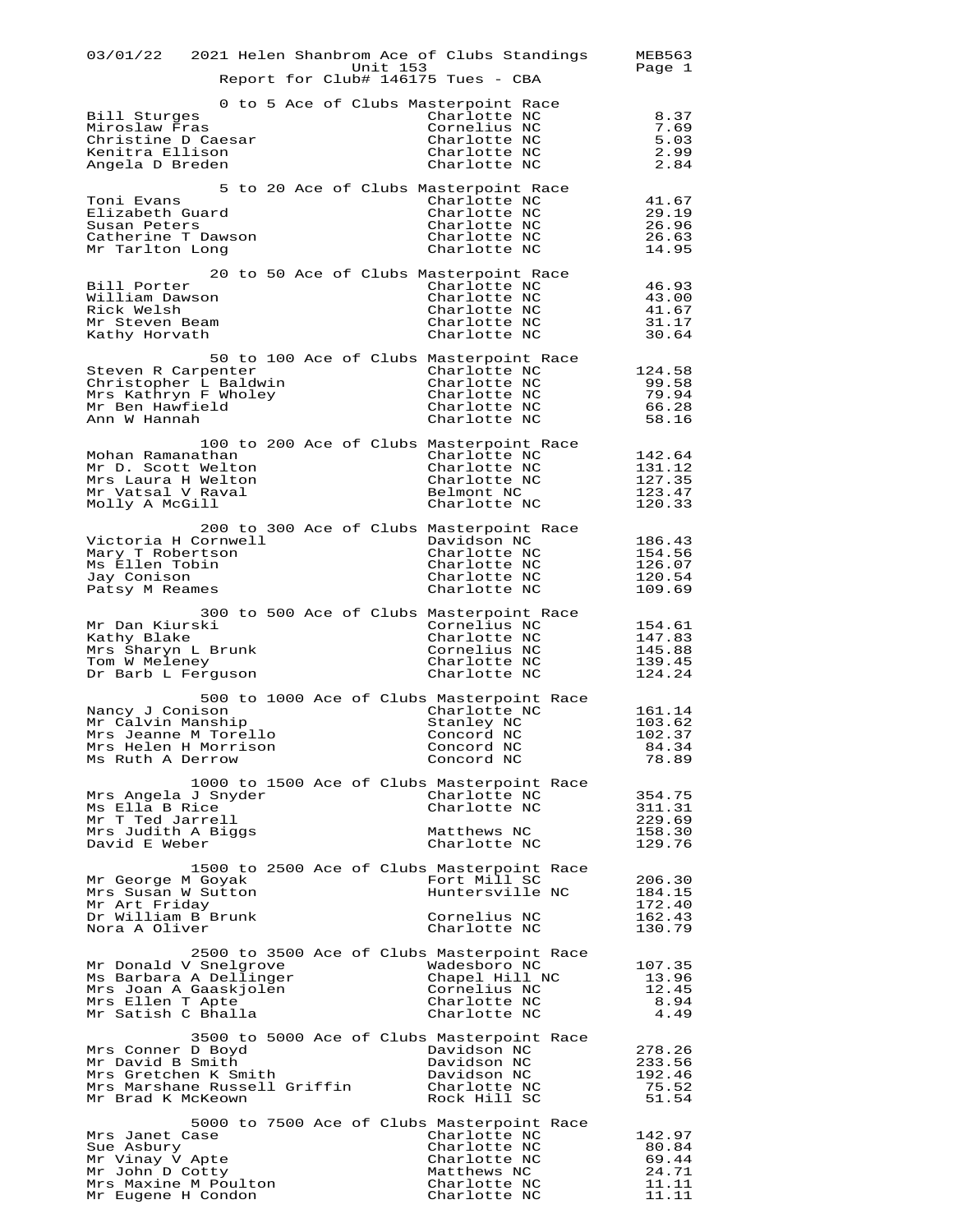| 03/01/22 2021 Helen Shanbrom Ace of Clubs Standings<br>Unit 153<br>Report for Club# 146175 Tues - CBA                                                                                                                                                         | MEB563<br>Page 1                                    |
|---------------------------------------------------------------------------------------------------------------------------------------------------------------------------------------------------------------------------------------------------------------|-----------------------------------------------------|
| 0 to 5 Ace of Clubs Masterpoint Race<br>Charlotte NC<br>Bill Sturges<br>Cornelius NC<br>Miroslaw Fras<br>Christine D Caesar<br>Charlotte NC<br>Kenitra Ellison<br>Charlotte NC<br>Angela D Breden<br>Charlotte NC                                             | 8.37<br>7.69<br>5.03<br>2.99<br>2.84                |
| 5 to 20 Ace of Clubs Masterpoint Race<br>Toni Evans<br>Charlotte NC<br>Elizabeth Guard<br>Charlotte NC<br>Susan Peters<br>Charlotte NC<br>Catherine T Dawson<br>Charlotte NC<br>Mr Tarlton Long<br>Charlotte NC                                               | 41.67<br>29.19<br>26.96<br>26.63<br>14.95           |
| 20 to 50 Ace of Clubs Masterpoint Race<br>Bill Porter<br>Charlotte NC<br>William Dawson<br>Charlotte NC<br>Rick Welsh<br>Charlotte NC<br>Mr Steven Beam<br>Charlotte NC<br>Kathy Horvath<br>Charlotte NC                                                      | 46.93<br>43.00<br>41.67<br>31.17<br>30.64           |
| 50 to 100 Ace of Clubs Masterpoint Race<br>Charlotte NC<br>Steven R Carpenter<br>Christopher L Baldwin<br>Charlotte NC<br>Mrs Kathryn F Wholey<br>Charlotte NC<br>Mr Ben Hawfield<br>Charlotte NC<br>Ann W Hannah<br>Charlotte NC                             | 124.58<br>99.58<br>79.94<br>66.28<br>58.16          |
| 100 to 200 Ace of Clubs Masterpoint Race<br>Mohan Ramanathan<br>Charlotte NC<br>Mr D. Scott Welton<br>Charlotte NC<br>Charlotte NC<br>Mrs Laura H Welton<br>Mr Vatsal V Raval<br>Belmont NC<br>Molly A McGill<br>Charlotte NC                                 | 142.64<br>131.12<br>127.35<br>123.47<br>120.33      |
| 200 to 300 Ace of Clubs Masterpoint Race<br>Victoria H Cornwell<br>Davidson NC<br>Mary T Robertson<br>Charlotte NC<br>Ms Ellen Tobin<br>Charlotte NC<br>Jay Conison<br>Charlotte NC<br>Patsy M Reames<br>Charlotte NC                                         | 186.43<br>154.56<br>126.07<br>120.54<br>109.69      |
| 300 to 500 Ace of Clubs Masterpoint Race<br>Mr Dan Kiurski<br>Cornelius NC<br>Kathy Blake<br>Charlotte NC<br>Cornelius NC<br>Mrs Sharyn L Brunk<br>Tom W Meleney<br>Charlotte NC<br>Charlotte NC<br>Dr Barb L Ferguson                                        | 154.61<br>147.83<br>145.88<br>139.45<br>124.24      |
| 500 to 1000 Ace of Clubs Masterpoint Race<br>Charlotte NC<br>Nancy J Conison<br>Mr Calvin Manship<br>Stanley NC<br>Concord NC<br>Mrs Jeanne M Torello<br>Mrs Helen H Morrison<br>Concord NC<br>Ms Ruth A Derrow<br>Concord NC                                 | 161.14<br>103.62<br>102.37<br>84.34<br>78.89        |
| 1000 to 1500 Ace of Clubs Masterpoint Race<br>Mrs Angela J Snyder<br>Charlotte NC<br>Ms Ella B Rice<br>Charlotte NC<br>Mr T Ted Jarrell<br>Mrs Judith A Biggs<br>Matthews NC<br>David E Weber<br>Charlotte NC                                                 | 354.75<br>311.31<br>229.69<br>158.30<br>129.76      |
| 1500 to 2500 Ace of Clubs Masterpoint Race<br>Mr George M Goyak<br>Fort Mill SC<br>Huntersville NC<br>Mrs Susan W Sutton<br>Mr Art Friday<br>Dr William B Brunk<br>Cornelius NC<br>Nora A Oliver<br>Charlotte NC                                              | 206.30<br>184.15<br>172.40<br>162.43<br>130.79      |
| 2500 to 3500 Ace of Clubs Masterpoint Race<br>Mr Donald V Snelgrove<br>Wadesboro NC<br>Ms Barbara A Dellinger<br>Chapel Hill NC<br>Cornelius NC<br>Mrs Joan A Gaaskjolen<br>Mrs Ellen T Apte<br>Charlotte NC<br>Mr Satish C Bhalla<br>Charlotte NC            | 107.35<br>13.96<br>12.45<br>8.94<br>4.49            |
| 3500 to 5000 Ace of Clubs Masterpoint Race<br>Mrs Conner D Boyd<br>Davidson NC<br>Mr David B Smith<br>Davidson NC<br>Mrs Gretchen K Smith<br>Davidson NC<br>Mrs Marshane Russell Griffin<br>Charlotte NC<br>Mr Brad K McKeown<br>Rock Hill SC                 | 278.26<br>233.56<br>192.46<br>75.52<br>51.54        |
| 5000 to 7500 Ace of Clubs Masterpoint Race<br>Charlotte NC<br>Mrs Janet Case<br>Charlotte NC<br>Sue Asbury<br>Mr Vinay V Apte<br>Charlotte NC<br>Mr John D Cotty<br>Matthews NC<br>Mrs Maxine M Poulton<br>Charlotte NC<br>Mr Eugene H Condon<br>Charlotte NC | 142.97<br>80.84<br>69.44<br>24.71<br>11.11<br>11.11 |